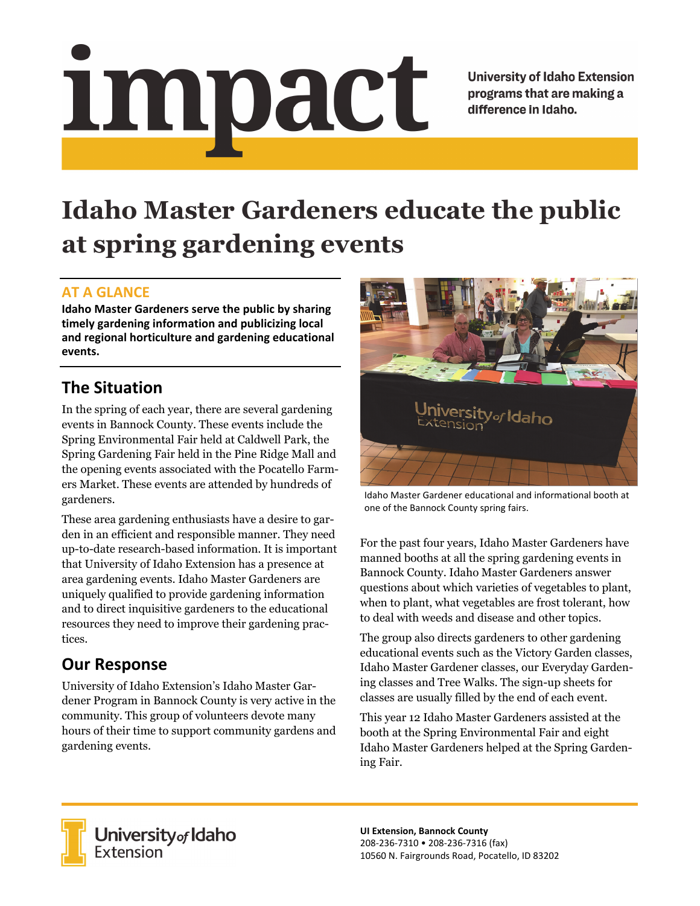# Impact

**University of Idaho Extension** programs that are making a difference in Idaho.

# **Idaho Master Gardeners educate the public at spring gardening events**

### **AT A GLANCE**

**Idaho Master Gardeners serve the public by sharing timely gardening information and publicizing local and regional horticulture and gardening educational events.** 

## **The Situation**

In the spring of each year, there are several gardening events in Bannock County. These events include the Spring Environmental Fair held at Caldwell Park, the Spring Gardening Fair held in the Pine Ridge Mall and the opening events associated with the Pocatello Farmers Market. These events are attended by hundreds of gardeners.

These area gardening enthusiasts have a desire to garden in an efficient and responsible manner. They need up-to-date research-based information. It is important that University of Idaho Extension has a presence at area gardening events. Idaho Master Gardeners are uniquely qualified to provide gardening information and to direct inquisitive gardeners to the educational resources they need to improve their gardening practices.

## **Our Response**

University of Idaho Extension's Idaho Master Gardener Program in Bannock County is very active in the community. This group of volunteers devote many hours of their time to support community gardens and gardening events.



Idaho Master Gardener educational and informational booth at one of the Bannock County spring fairs.

For the past four years, Idaho Master Gardeners have manned booths at all the spring gardening events in Bannock County. Idaho Master Gardeners answer questions about which varieties of vegetables to plant, when to plant, what vegetables are frost tolerant, how to deal with weeds and disease and other topics.

The group also directs gardeners to other gardening educational events such as the Victory Garden classes, Idaho Master Gardener classes, our Everyday Gardening classes and Tree Walks. The sign-up sheets for classes are usually filled by the end of each event.

This year 12 Idaho Master Gardeners assisted at the booth at the Spring Environmental Fair and eight Idaho Master Gardeners helped at the Spring Gardening Fair.



**University** of Idaho<br>Extension